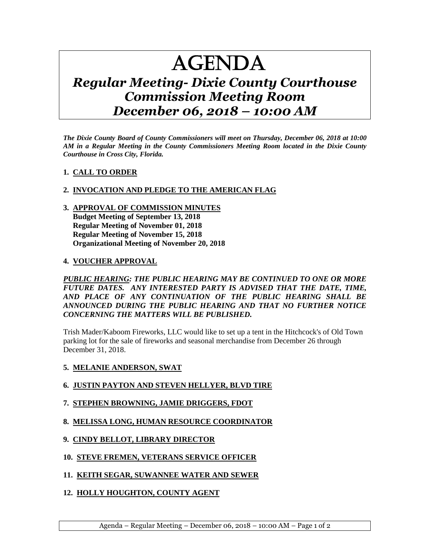# AGENDA

# *Regular Meeting- Dixie County Courthouse Commission Meeting Room December 06, 2018 – 10:00 AM*

*The Dixie County Board of County Commissioners will meet on Thursday, December 06, 2018 at 10:00 AM in a Regular Meeting in the County Commissioners Meeting Room located in the Dixie County Courthouse in Cross City, Florida.*

## **1. CALL TO ORDER**

## **2. INVOCATION AND PLEDGE TO THE AMERICAN FLAG**

**3. APPROVAL OF COMMISSION MINUTES Budget Meeting of September 13, 2018 Regular Meeting of November 01, 2018 Regular Meeting of November 15, 2018 Organizational Meeting of November 20, 2018**

#### **4. VOUCHER APPROVAL**

*PUBLIC HEARING: THE PUBLIC HEARING MAY BE CONTINUED TO ONE OR MORE FUTURE DATES. ANY INTERESTED PARTY IS ADVISED THAT THE DATE, TIME, AND PLACE OF ANY CONTINUATION OF THE PUBLIC HEARING SHALL BE ANNOUNCED DURING THE PUBLIC HEARING AND THAT NO FURTHER NOTICE CONCERNING THE MATTERS WILL BE PUBLISHED.*

Trish Mader/Kaboom Fireworks, LLC would like to set up a tent in the Hitchcock's of Old Town parking lot for the sale of fireworks and seasonal merchandise from December 26 through December 31, 2018.

#### **5. MELANIE ANDERSON, SWAT**

## **6. JUSTIN PAYTON AND STEVEN HELLYER, BLVD TIRE**

- **7. STEPHEN BROWNING, JAMIE DRIGGERS, FDOT**
- **8. MELISSA LONG, HUMAN RESOURCE COORDINATOR**
- **9. CINDY BELLOT, LIBRARY DIRECTOR**
- **10. STEVE FREMEN, VETERANS SERVICE OFFICER**
- **11. KEITH SEGAR, SUWANNEE WATER AND SEWER**
- **12. HOLLY HOUGHTON, COUNTY AGENT**